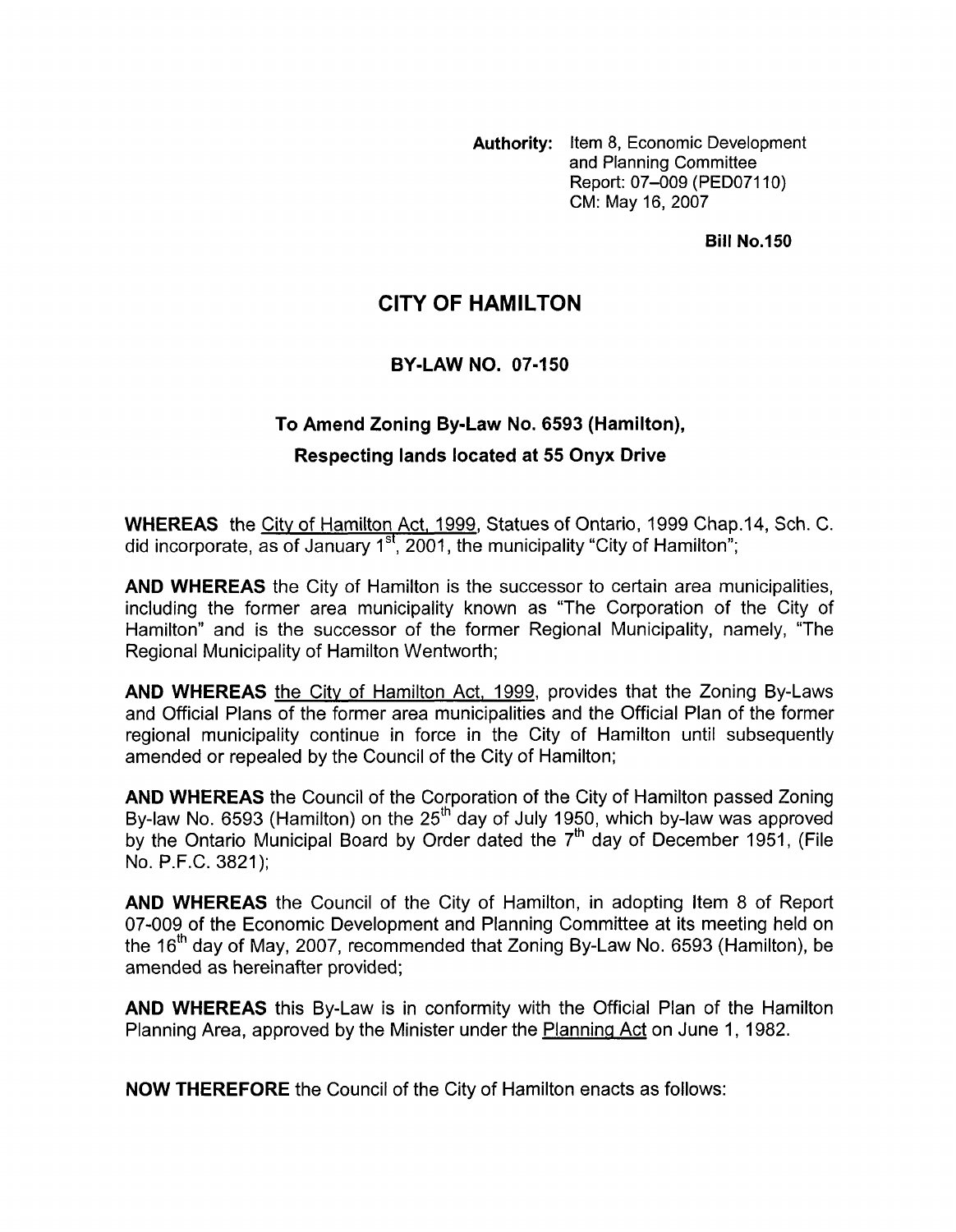**Authority:** Item **8,** Economic Development and Planning Committee Report: 07-009 (PED07110) CM: May 16,2007

#### **Bill No.150**

# **CITY OF HAMILTON**

### **BY-LAW NO. 07-150**

# **To Amend Zoning By-Law No. 6593 (Hamilton), Respecting lands located at 55 Onyx Drive**

**WHEREAS** the City of Hamilton Act, 1999, Statues of Ontario, 1999 Chap.14, Sch. C. did incorporate, as of January 1 **st,** 2001, the municipality "City of Hamilton";

**AND WHEREAS** the City of Hamilton is the successor to certain area municipalities, including the former area municipality known as "The Corporation of the City of Hamilton" and is the successor of the former Regional Municipality, namely, "The Regional Municipality of Hamilton Wentworth;

**AND WHEREAS** the City of Hamilton Act, 1999, provides that the Zoning By-Laws and Official Plans of the former area municipalities and the Official Plan of the former regional municipality continue in force in the City of Hamilton until subsequently amended or repealed by the Council of the City of Hamilton;

**AND WHEREAS** the Council of the Corporation of the City of Hamilton passed Zoning By-law No. 6593 (Hamilton) on the  $25<sup>th</sup>$  day of July 1950, which by-law was approved by the Ontario Municipal Board by Order dated the  $7<sup>th</sup>$  day of December 1951, (File No. P.F.C. 3821);

**AND WHEREAS** the Council of the City of Hamilton, in adopting Item 8 of Report 07-009 of the Economic Development and Planning Committee at its meeting held on the 16<sup>th</sup> day of May, 2007, recommended that Zoning By-Law No. 6593 (Hamilton), be amended as hereinafter provided;

**AND WHEREAS** this By-Law is in conformity with the Official Plan of the Hamilton Planning Area, approved by the Minister under the Plannina Act on June 1, 1982.

**NOW THEREFORE** the Council of the City of Hamilton enacts as follows: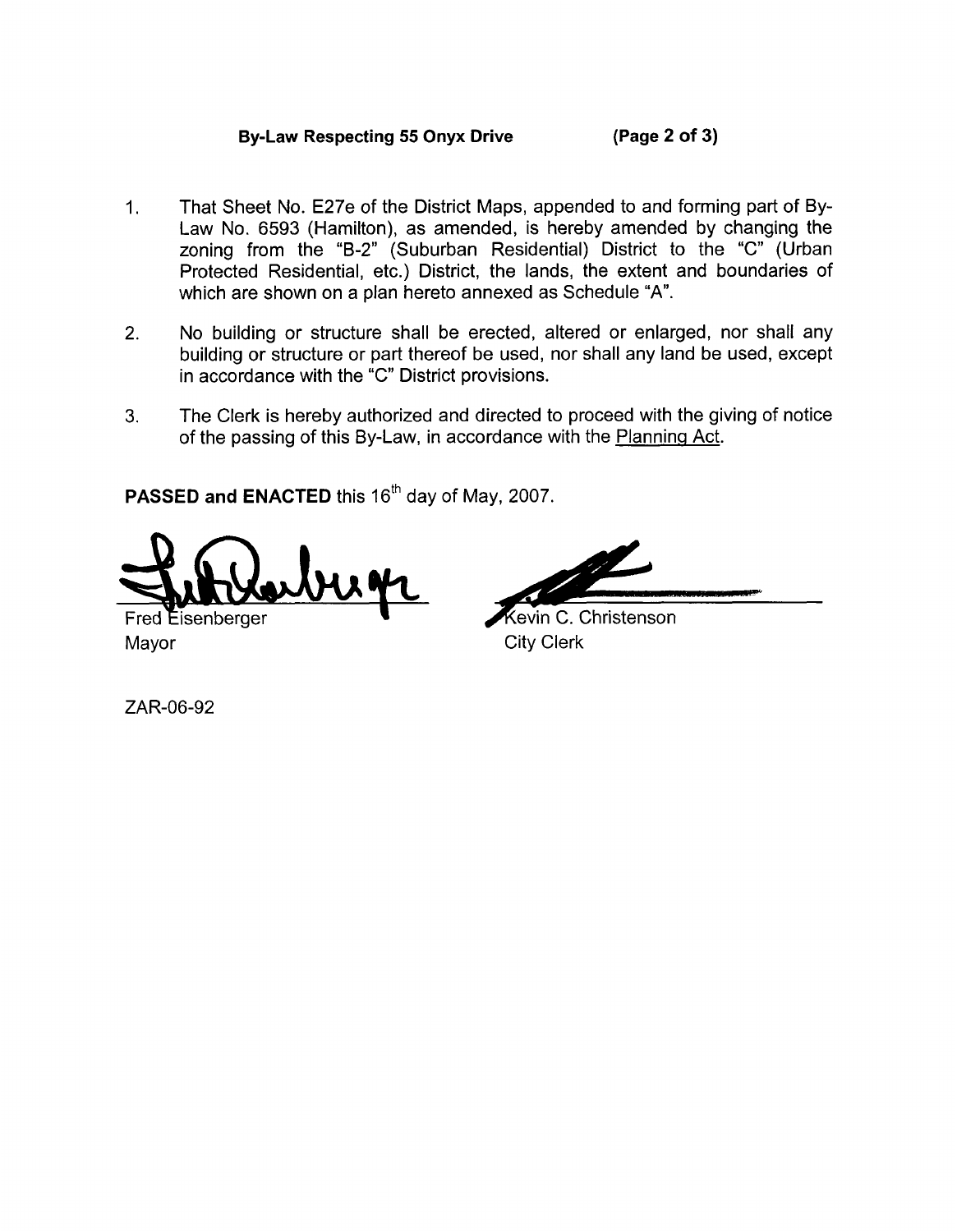## **By-Law Respecting 55 Onyx Drive (Page 2 of 3)**

- 1. That Sheet No. E27e of the District Maps, appended to and forming part of By-Law No. 6593 (Hamilton), as amended, is hereby amended by changing the zoning from the "B-2" (Suburban Residential) District to the "C" (Urban Protected Residential, etc.) District, the lands, the extent and boundaries of which are shown on a plan hereto annexed as Schedule **"A".**
- 2. No building or structure shall be erected, altered or enlarged, nor shall any building or structure or part thereof be used, nor shall any land be used, except in accordance with the "C" District provisions.
- **3.** The Clerk is hereby authorized and directed to proceed with the giving of notice of the passing of this By-Law, in accordance with the Planning Act.

PASSED and ENACTED this 16<sup>th</sup> day of May, 2007.

Fred Eisenberger Mayor **City Clerk** 

Kevin C. Christenson

ZAR-06-92